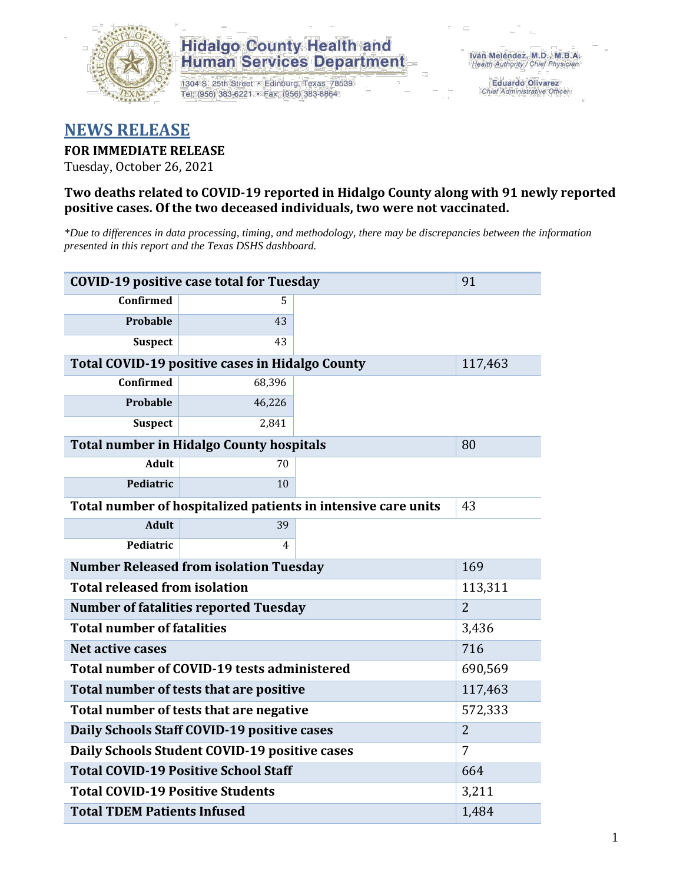

## **Hidalgo County Health and Human Services Department**

1304 S. 25th Street · Edinburg, Texas 78539 Tel: (956) 383-6221 · Fax: (956) 383-8864

**Eduardo Olivarez** Chief Administrative Officer

# **NEWS RELEASE**

## **FOR IMMEDIATE RELEASE**

Tuesday, October 26, 2021

### **Two deaths related to COVID-19 reported in Hidalgo County along with 91 newly reported positive cases. Of the two deceased individuals, two were not vaccinated.**

*\*Due to differences in data processing, timing, and methodology, there may be discrepancies between the information presented in this report and the Texas DSHS dashboard.*

| <b>COVID-19 positive case total for Tuesday</b>               | 91                                                     |  |         |
|---------------------------------------------------------------|--------------------------------------------------------|--|---------|
| <b>Confirmed</b>                                              | 5.                                                     |  |         |
| <b>Probable</b>                                               | 43                                                     |  |         |
| <b>Suspect</b>                                                | 43                                                     |  |         |
|                                                               | <b>Total COVID-19 positive cases in Hidalgo County</b> |  | 117,463 |
| Confirmed                                                     | 68,396                                                 |  |         |
| <b>Probable</b>                                               | 46,226                                                 |  |         |
| <b>Suspect</b>                                                | 2,841                                                  |  |         |
| <b>Total number in Hidalgo County hospitals</b>               | 80                                                     |  |         |
| <b>Adult</b>                                                  | 70                                                     |  |         |
| Pediatric                                                     | 10                                                     |  |         |
| Total number of hospitalized patients in intensive care units | 43                                                     |  |         |
| <b>Adult</b>                                                  | 39                                                     |  |         |
| Pediatric                                                     | 4                                                      |  |         |
| <b>Number Released from isolation Tuesday</b>                 | 169                                                    |  |         |
| <b>Total released from isolation</b>                          | 113,311                                                |  |         |
| <b>Number of fatalities reported Tuesday</b>                  | $\overline{2}$                                         |  |         |
| <b>Total number of fatalities</b>                             | 3,436                                                  |  |         |
| Net active cases                                              | 716                                                    |  |         |
| Total number of COVID-19 tests administered                   | 690,569                                                |  |         |
| Total number of tests that are positive                       | 117,463                                                |  |         |
| Total number of tests that are negative                       | 572,333                                                |  |         |
| Daily Schools Staff COVID-19 positive cases                   | $\overline{2}$                                         |  |         |
| Daily Schools Student COVID-19 positive cases                 | 7                                                      |  |         |
| <b>Total COVID-19 Positive School Staff</b>                   | 664                                                    |  |         |
| <b>Total COVID-19 Positive Students</b>                       | 3,211                                                  |  |         |
| <b>Total TDEM Patients Infused</b>                            | 1,484                                                  |  |         |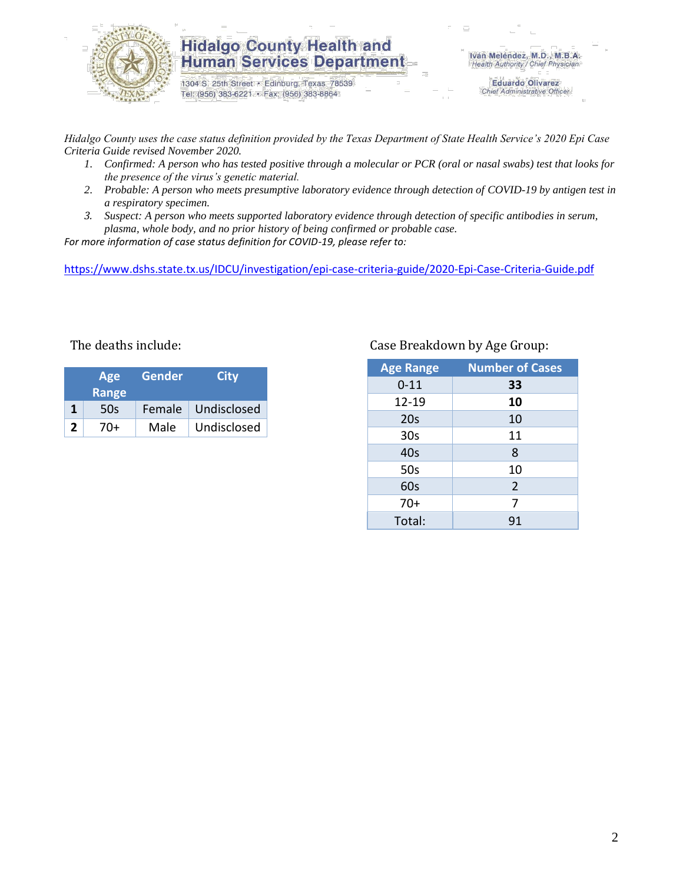

## **Hidalgo County Health and Human Services Department**

1304 S. 25th Street · Edinburg, Texas 78539 Tel: (956) 383-6221 · Fax: (956) 383-8864

**Eduardo Olivarez** Chief Administrative Officer

*Hidalgo County uses the case status definition provided by the Texas Department of State Health Service's 2020 Epi Case Criteria Guide revised November 2020.*

- *1. Confirmed: A person who has tested positive through a molecular or PCR (oral or nasal swabs) test that looks for the presence of the virus's genetic material.*
- *2. Probable: A person who meets presumptive laboratory evidence through detection of COVID-19 by antigen test in a respiratory specimen.*
- *3. Suspect: A person who meets supported laboratory evidence through detection of specific antibodies in serum, plasma, whole body, and no prior history of being confirmed or probable case.*

*For more information of case status definition for COVID-19, please refer to:*

<https://www.dshs.state.tx.us/IDCU/investigation/epi-case-criteria-guide/2020-Epi-Case-Criteria-Guide.pdf>

| Age<br><b>Range</b> |     | Gender | <b>City</b>        |  |
|---------------------|-----|--------|--------------------|--|
| 1                   | 50s |        | Female Undisclosed |  |
| 2                   | 70+ | Male   | Undisclosed        |  |

### The deaths include: Case Breakdown by Age Group:

| <b>Age Range</b> | <b>Number of Cases</b> |
|------------------|------------------------|
| $0 - 11$         | 33                     |
| 12-19            | 10                     |
| 20s              | 10                     |
| 30 <sub>s</sub>  | 11                     |
| 40s              | 8                      |
| 50s              | 10                     |
| 60s              | $\overline{2}$         |
| $70+$            | 7                      |
| Total:           | 91                     |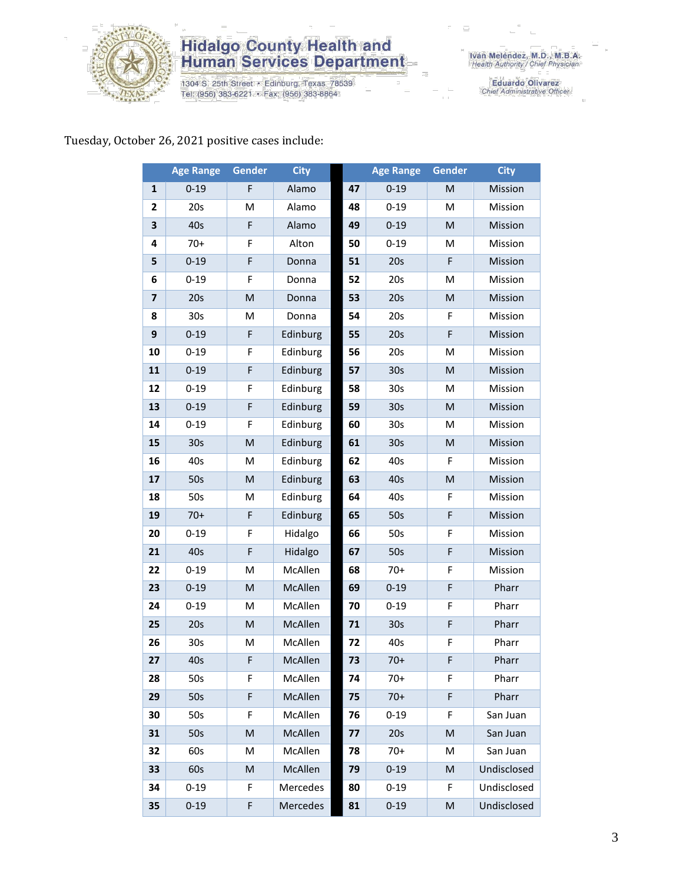

# **Hidalgo County Health and<br>Human Services Department**

1304 S. 25th Street • Edinburg, Texas 78539<br>Tel: (956) 383-6221 • Fax: (956) 383-8864

Iván Meléndez, M.D., M.B.A.<br>Health Authority / Chief Physician

Eduardo Olivarez<br>Chief Administrative Officer

## Tuesday, October 26, 2021 positive cases include:

|              | <b>Age Range</b> | Gender                                                                                                     | <b>City</b> |    | <b>Age Range</b> | Gender | <b>City</b> |
|--------------|------------------|------------------------------------------------------------------------------------------------------------|-------------|----|------------------|--------|-------------|
| 1            | $0 - 19$         | F                                                                                                          | Alamo       | 47 | $0 - 19$         | M      | Mission     |
| $\mathbf{2}$ | 20s              | M                                                                                                          | Alamo       | 48 | $0 - 19$         | M      | Mission     |
| 3            | 40s              | F                                                                                                          | Alamo       | 49 | $0 - 19$         | M      | Mission     |
| 4            | $70+$            | F                                                                                                          | Alton       | 50 | $0 - 19$         | Μ      | Mission     |
| 5            | $0 - 19$         | F                                                                                                          | Donna       | 51 | 20s              | F      | Mission     |
| 6            | $0 - 19$         | F                                                                                                          | Donna       | 52 | 20s              | M      | Mission     |
| 7            | 20s              | M                                                                                                          | Donna       | 53 | 20s              | M      | Mission     |
| 8            | 30 <sub>s</sub>  | м                                                                                                          | Donna       | 54 | 20s              | F      | Mission     |
| 9            | $0 - 19$         | F                                                                                                          | Edinburg    | 55 | 20s              | F      | Mission     |
| 10           | $0 - 19$         | F                                                                                                          | Edinburg    | 56 | 20s              | M      | Mission     |
| 11           | $0 - 19$         | F                                                                                                          | Edinburg    | 57 | 30s              | M      | Mission     |
| 12           | $0 - 19$         | F                                                                                                          | Edinburg    | 58 | 30s              | M      | Mission     |
| 13           | $0 - 19$         | F                                                                                                          | Edinburg    | 59 | 30s              | M      | Mission     |
| 14           | $0 - 19$         | F                                                                                                          | Edinburg    | 60 | 30 <sub>s</sub>  | M      | Mission     |
| 15           | 30 <sub>s</sub>  | M                                                                                                          | Edinburg    | 61 | 30 <sub>s</sub>  | M      | Mission     |
| 16           | 40s              | M                                                                                                          | Edinburg    | 62 | 40s              | F      | Mission     |
| 17           | 50s              | $\mathsf{M}% _{T}=\mathsf{M}_{T}\!\left( a,b\right) ,\ \mathsf{M}_{T}=\mathsf{M}_{T}\!\left( a,b\right) ,$ | Edinburg    | 63 | 40s              | M      | Mission     |
| 18           | 50s              | M                                                                                                          | Edinburg    | 64 | 40s              | F      | Mission     |
| 19           | $70+$            | F                                                                                                          | Edinburg    | 65 | 50s              | F      | Mission     |
| 20           | $0 - 19$         | F                                                                                                          | Hidalgo     | 66 | 50s              | F      | Mission     |
| 21           | 40s              | F                                                                                                          | Hidalgo     | 67 | 50s              | F      | Mission     |
| 22           | $0 - 19$         | M                                                                                                          | McAllen     | 68 | $70+$            | F      | Mission     |
| 23           | $0 - 19$         | M                                                                                                          | McAllen     | 69 | $0 - 19$         | F      | Pharr       |
| 24           | $0 - 19$         | M                                                                                                          | McAllen     | 70 | $0 - 19$         | F      | Pharr       |
| 25           | 20s              | M                                                                                                          | McAllen     | 71 | 30s              | F      | Pharr       |
| 26           | 30 <sub>s</sub>  | M                                                                                                          | McAllen     | 72 | 40s              | F      | Pharr       |
| 27           | 40s              | F                                                                                                          | McAllen     | 73 | $70+$            | F      | Pharr       |
| 28           | 50s              | F                                                                                                          | McAllen     | 74 | $70+$            | F      | Pharr       |
| 29           | 50s              | F                                                                                                          | McAllen     | 75 | $70+$            | F      | Pharr       |
| 30           | 50s              | F                                                                                                          | McAllen     | 76 | $0 - 19$         | F      | San Juan    |
| 31           | 50s              | M                                                                                                          | McAllen     | 77 | 20s              | M      | San Juan    |
| 32           | 60s              | M                                                                                                          | McAllen     | 78 | $70+$            | Μ      | San Juan    |
| 33           | 60s              | M                                                                                                          | McAllen     | 79 | $0 - 19$         | M      | Undisclosed |
| 34           | $0 - 19$         | F                                                                                                          | Mercedes    | 80 | $0 - 19$         | F      | Undisclosed |
| 35           | $0 - 19$         | F                                                                                                          | Mercedes    | 81 | $0 - 19$         | M      | Undisclosed |